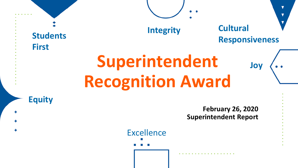## **Superintendent Recognition Award Students First Equity Integrity Cultural Responsiveness Joy**

Excellence

**February 26, 2020 Superintendent Report**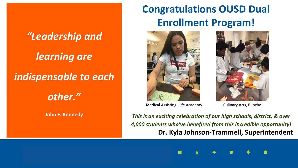# *"Leadership and learning are indispensable to each other."* **John F. Kennedy**

# **Congratulations OUSD Dual Enrollment Program!**



Medical Assisting, Life Academy Culinary Arts, Bunche



**Dr. Kyla Johnson-Trammell, Superintendent** *This is an exciting celebration of our high schools, district, & over 4,000 students who've benefited from this incredible opportunity!*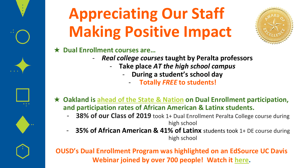

# **Appreciating Our Staff Making Positive Impact**



#### ★ **Dual Enrollment courses are…**

- *Real college courses* **taught by Peralta professors**
	- **Take place** *AT the high school campus*
		- **During a student's school day** 
			- **Totally** *FREE* **to students!**
- ★ **Oakland is [ahead of the State & Nation](https://edsource.org/2020/high-school-students-benefit-from-taking-college-courses-but-access-uneven-in-california/623558) on Dual Enrollment participation, and participation rates of African American & Latinx students.**
	- **38% of our Class of 2019** took 1+ Dual Enrollment Peralta College course during high school
	- **35% of African American & 41% of Latinx** students took 1+ DE course during high school

**OUSD's Dual Enrollment Program was highlighted on an EdSource UC Davis Webinar joined by over 700 people! Watch it [here.](https://edsource.org/broadcasts/linking-high-school-and-college-whats-next-for-dual-enrollment-in-california)**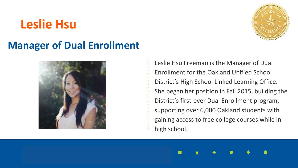# **Leslie Hsu**



## **Manager of Dual Enrollment**



Leslie Hsu Freeman is the Manager of Dual Enrollment for the Oakland Unified School District's High School Linked Learning Office. She began her position in Fall 2015, building the District's first-ever Dual Enrollment program, supporting over 6,000 Oakland students with gaining access to free college courses while in high school.

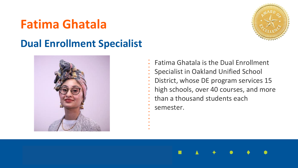# **Fatima Ghatala**



### **Dual Enrollment Specialist**



Fatima Ghatala is the Dual Enrollment Specialist in Oakland Unified School District, whose DE program services 15 high schools, over 40 courses, and more than a thousand students each semester.